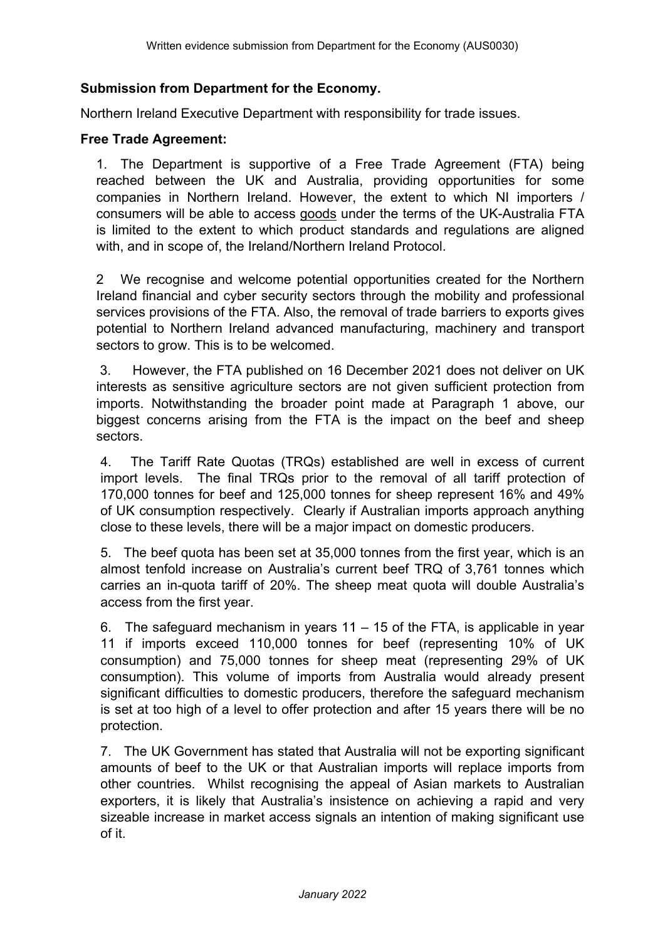### **Submission from Department for the Economy.**

Northern Ireland Executive Department with responsibility for trade issues.

#### **Free Trade Agreement:**

1. The Department is supportive of a Free Trade Agreement (FTA) being reached between the UK and Australia, providing opportunities for some companies in Northern Ireland. However, the extent to which NI importers / consumers will be able to access goods under the terms of the UK-Australia FTA is limited to the extent to which product standards and regulations are aligned with, and in scope of, the Ireland/Northern Ireland Protocol.

2 We recognise and welcome potential opportunities created for the Northern Ireland financial and cyber security sectors through the mobility and professional services provisions of the FTA. Also, the removal of trade barriers to exports gives potential to Northern Ireland advanced manufacturing, machinery and transport sectors to grow. This is to be welcomed.

3. However, the FTA published on 16 December 2021 does not deliver on UK interests as sensitive agriculture sectors are not given sufficient protection from imports. Notwithstanding the broader point made at Paragraph 1 above, our biggest concerns arising from the FTA is the impact on the beef and sheep sectors.

4. The Tariff Rate Quotas (TRQs) established are well in excess of current import levels. The final TRQs prior to the removal of all tariff protection of 170,000 tonnes for beef and 125,000 tonnes for sheep represent 16% and 49% of UK consumption respectively. Clearly if Australian imports approach anything close to these levels, there will be a major impact on domestic producers.

5. The beef quota has been set at 35,000 tonnes from the first year, which is an almost tenfold increase on Australia's current beef TRQ of 3,761 tonnes which carries an in-quota tariff of 20%. The sheep meat quota will double Australia's access from the first year.

6. The safeguard mechanism in years 11 – 15 of the FTA, is applicable in year 11 if imports exceed 110,000 tonnes for beef (representing 10% of UK consumption) and 75,000 tonnes for sheep meat (representing 29% of UK consumption). This volume of imports from Australia would already present significant difficulties to domestic producers, therefore the safeguard mechanism is set at too high of a level to offer protection and after 15 years there will be no protection.

7. The UK Government has stated that Australia will not be exporting significant amounts of beef to the UK or that Australian imports will replace imports from other countries. Whilst recognising the appeal of Asian markets to Australian exporters, it is likely that Australia's insistence on achieving a rapid and very sizeable increase in market access signals an intention of making significant use of it.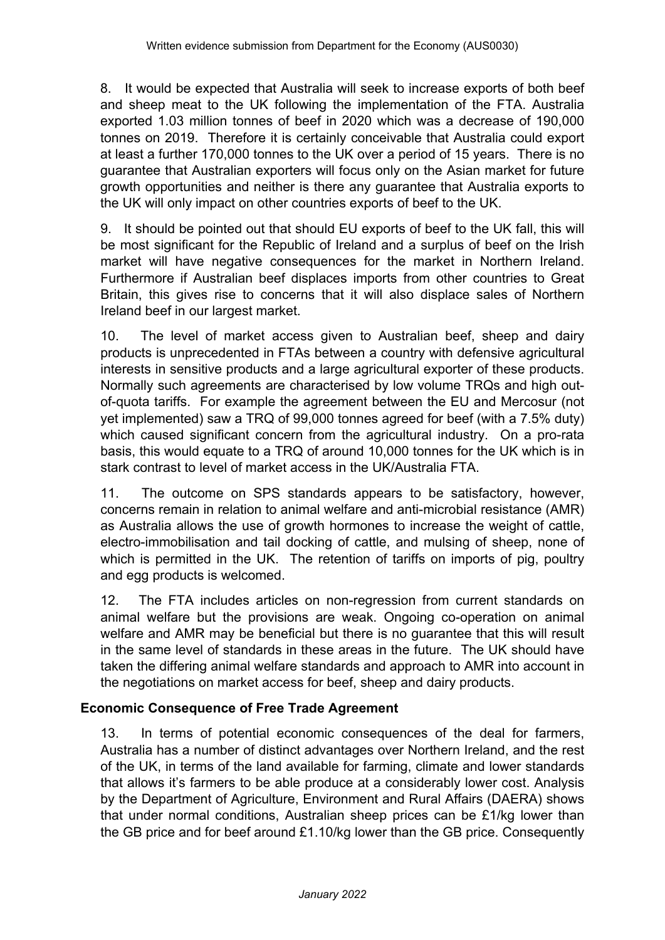8. It would be expected that Australia will seek to increase exports of both beef and sheep meat to the UK following the implementation of the FTA. Australia exported 1.03 million tonnes of beef in 2020 which was a decrease of 190,000 tonnes on 2019. Therefore it is certainly conceivable that Australia could export at least a further 170,000 tonnes to the UK over a period of 15 years. There is no guarantee that Australian exporters will focus only on the Asian market for future growth opportunities and neither is there any guarantee that Australia exports to the UK will only impact on other countries exports of beef to the UK.

9. It should be pointed out that should EU exports of beef to the UK fall, this will be most significant for the Republic of Ireland and a surplus of beef on the Irish market will have negative consequences for the market in Northern Ireland. Furthermore if Australian beef displaces imports from other countries to Great Britain, this gives rise to concerns that it will also displace sales of Northern Ireland beef in our largest market.

10. The level of market access given to Australian beef, sheep and dairy products is unprecedented in FTAs between a country with defensive agricultural interests in sensitive products and a large agricultural exporter of these products. Normally such agreements are characterised by low volume TRQs and high outof-quota tariffs. For example the agreement between the EU and Mercosur (not yet implemented) saw a TRQ of 99,000 tonnes agreed for beef (with a 7.5% duty) which caused significant concern from the agricultural industry. On a pro-rata basis, this would equate to a TRQ of around 10,000 tonnes for the UK which is in stark contrast to level of market access in the UK/Australia FTA.

11. The outcome on SPS standards appears to be satisfactory, however, concerns remain in relation to animal welfare and anti-microbial resistance (AMR) as Australia allows the use of growth hormones to increase the weight of cattle, electro-immobilisation and tail docking of cattle, and mulsing of sheep, none of which is permitted in the UK. The retention of tariffs on imports of pig, poultry and egg products is welcomed.

12. The FTA includes articles on non-regression from current standards on animal welfare but the provisions are weak. Ongoing co-operation on animal welfare and AMR may be beneficial but there is no guarantee that this will result in the same level of standards in these areas in the future. The UK should have taken the differing animal welfare standards and approach to AMR into account in the negotiations on market access for beef, sheep and dairy products.

# **Economic Consequence of Free Trade Agreement**

13. In terms of potential economic consequences of the deal for farmers, Australia has a number of distinct advantages over Northern Ireland, and the rest of the UK, in terms of the land available for farming, climate and lower standards that allows it's farmers to be able produce at a considerably lower cost. Analysis by the Department of Agriculture, Environment and Rural Affairs (DAERA) shows that under normal conditions, Australian sheep prices can be £1/kg lower than the GB price and for beef around £1.10/kg lower than the GB price. Consequently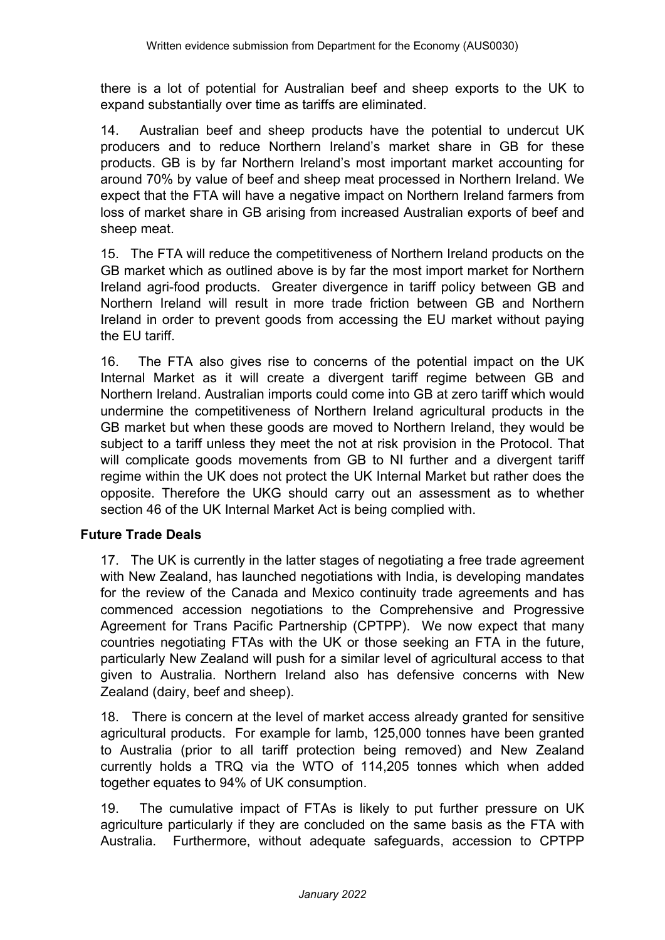there is a lot of potential for Australian beef and sheep exports to the UK to expand substantially over time as tariffs are eliminated.

14. Australian beef and sheep products have the potential to undercut UK producers and to reduce Northern Ireland's market share in GB for these products. GB is by far Northern Ireland's most important market accounting for around 70% by value of beef and sheep meat processed in Northern Ireland. We expect that the FTA will have a negative impact on Northern Ireland farmers from loss of market share in GB arising from increased Australian exports of beef and sheep meat.

15. The FTA will reduce the competitiveness of Northern Ireland products on the GB market which as outlined above is by far the most import market for Northern Ireland agri-food products. Greater divergence in tariff policy between GB and Northern Ireland will result in more trade friction between GB and Northern Ireland in order to prevent goods from accessing the EU market without paying the EU tariff.

16. The FTA also gives rise to concerns of the potential impact on the UK Internal Market as it will create a divergent tariff regime between GB and Northern Ireland. Australian imports could come into GB at zero tariff which would undermine the competitiveness of Northern Ireland agricultural products in the GB market but when these goods are moved to Northern Ireland, they would be subject to a tariff unless they meet the not at risk provision in the Protocol. That will complicate goods movements from GB to NI further and a divergent tariff regime within the UK does not protect the UK Internal Market but rather does the opposite. Therefore the UKG should carry out an assessment as to whether section 46 of the UK Internal Market Act is being complied with.

# **Future Trade Deals**

17. The UK is currently in the latter stages of negotiating a free trade agreement with New Zealand, has launched negotiations with India, is developing mandates for the review of the Canada and Mexico continuity trade agreements and has commenced accession negotiations to the Comprehensive and Progressive Agreement for Trans Pacific Partnership (CPTPP). We now expect that many countries negotiating FTAs with the UK or those seeking an FTA in the future, particularly New Zealand will push for a similar level of agricultural access to that given to Australia. Northern Ireland also has defensive concerns with New Zealand (dairy, beef and sheep).

18. There is concern at the level of market access already granted for sensitive agricultural products. For example for lamb, 125,000 tonnes have been granted to Australia (prior to all tariff protection being removed) and New Zealand currently holds a TRQ via the WTO of 114,205 tonnes which when added together equates to 94% of UK consumption.

19. The cumulative impact of FTAs is likely to put further pressure on UK agriculture particularly if they are concluded on the same basis as the FTA with Australia. Furthermore, without adequate safeguards, accession to CPTPP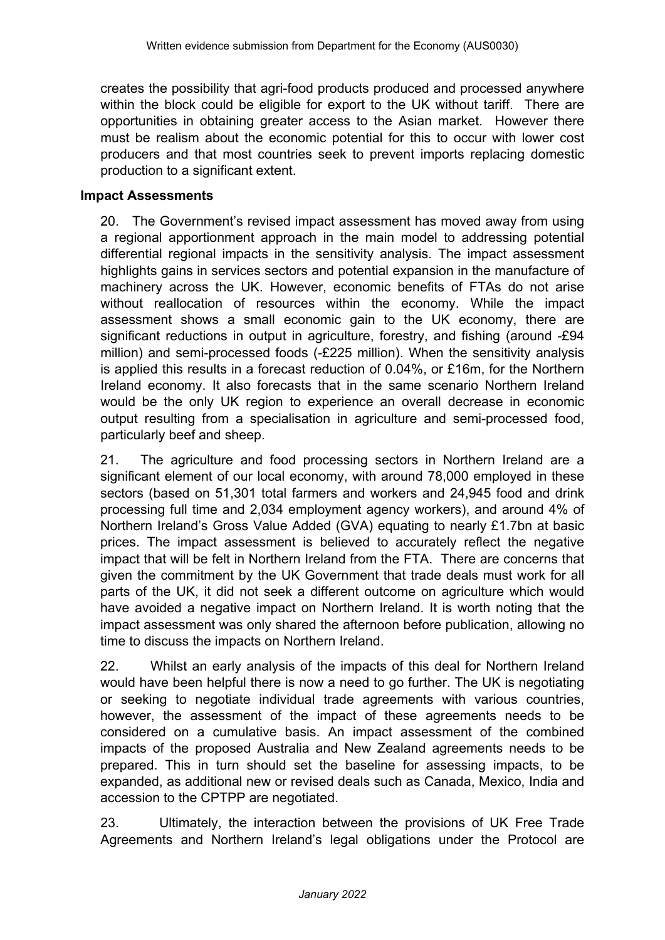creates the possibility that agri-food products produced and processed anywhere within the block could be eligible for export to the UK without tariff. There are opportunities in obtaining greater access to the Asian market. However there must be realism about the economic potential for this to occur with lower cost producers and that most countries seek to prevent imports replacing domestic production to a significant extent.

### **Impact Assessments**

20. The Government's revised impact assessment has moved away from using a regional apportionment approach in the main model to addressing potential differential regional impacts in the sensitivity analysis. The impact assessment highlights gains in services sectors and potential expansion in the manufacture of machinery across the UK. However, economic benefits of FTAs do not arise without reallocation of resources within the economy. While the impact assessment shows a small economic gain to the UK economy, there are significant reductions in output in agriculture, forestry, and fishing (around -£94 million) and semi-processed foods (-£225 million). When the sensitivity analysis is applied this results in a forecast reduction of 0.04%, or £16m, for the Northern Ireland economy. It also forecasts that in the same scenario Northern Ireland would be the only UK region to experience an overall decrease in economic output resulting from a specialisation in agriculture and semi-processed food, particularly beef and sheep.

21. The agriculture and food processing sectors in Northern Ireland are a significant element of our local economy, with around 78,000 employed in these sectors (based on 51,301 total farmers and workers and 24,945 food and drink processing full time and 2,034 employment agency workers), and around 4% of Northern Ireland's Gross Value Added (GVA) equating to nearly £1.7bn at basic prices. The impact assessment is believed to accurately reflect the negative impact that will be felt in Northern Ireland from the FTA. There are concerns that given the commitment by the UK Government that trade deals must work for all parts of the UK, it did not seek a different outcome on agriculture which would have avoided a negative impact on Northern Ireland. It is worth noting that the impact assessment was only shared the afternoon before publication, allowing no time to discuss the impacts on Northern Ireland.

22. Whilst an early analysis of the impacts of this deal for Northern Ireland would have been helpful there is now a need to go further. The UK is negotiating or seeking to negotiate individual trade agreements with various countries, however, the assessment of the impact of these agreements needs to be considered on a cumulative basis. An impact assessment of the combined impacts of the proposed Australia and New Zealand agreements needs to be prepared. This in turn should set the baseline for assessing impacts, to be expanded, as additional new or revised deals such as Canada, Mexico, India and accession to the CPTPP are negotiated.

23. Ultimately, the interaction between the provisions of UK Free Trade Agreements and Northern Ireland's legal obligations under the Protocol are